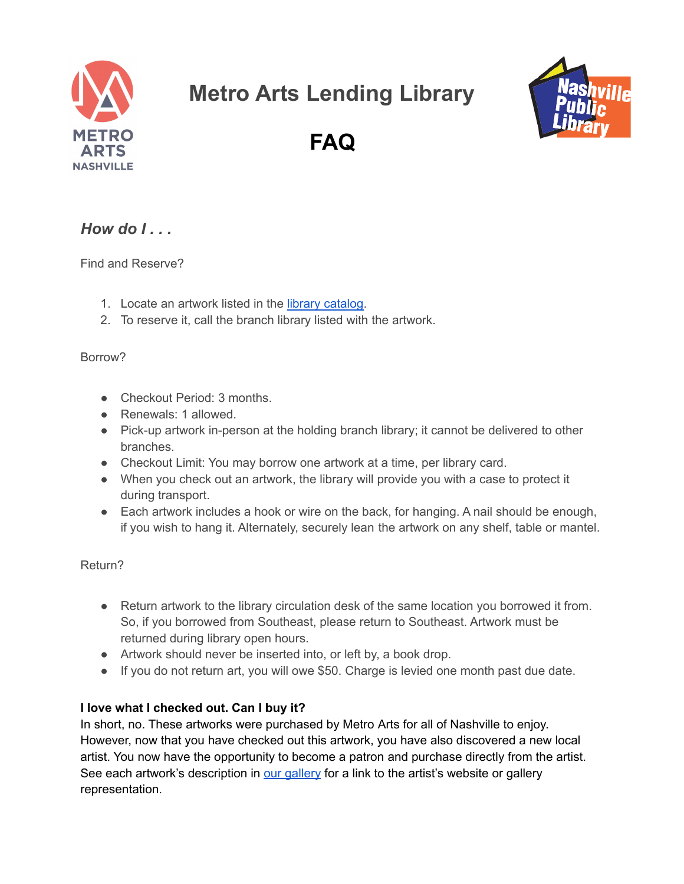

# **Metro Arts Lending Library**



**FAQ**

## *How do I . . .*

Find and Reserve?

- 1. Locate an artwork listed in the library [catalog.](https://library.nashville.org/collections/metro-arts-lending-library-collection)
- 2. To reserve it, call the branch library listed with the artwork.

#### Borrow?

- Checkout Period: 3 months
- Renewals: 1 allowed.
- Pick-up artwork in-person at the holding branch library; it cannot be delivered to other branches.
- Checkout Limit: You may borrow one artwork at a time, per library card.
- When you check out an artwork, the library will provide you with a case to protect it during transport.
- Each artwork includes a hook or wire on the back, for hanging. A nail should be enough, if you wish to hang it. Alternately, securely lean the artwork on any shelf, table or mantel.

Return?

- Return artwork to the library circulation desk of the same location you borrowed it from. So, if you borrowed from Southeast, please return to Southeast. Artwork must be returned during library open hours.
- Artwork should never be inserted into, or left by, a book drop.
- If you do not return art, you will owe \$50. Charge is levied one month past due date.

### **I love what I checked out. Can I buy it?**

In short, no. These artworks were purchased by Metro Arts for all of Nashville to enjoy. However, now that you have checked out this artwork, you have also discovered a new local artist. You now have the opportunity to become a patron and purchase directly from the artist. See each artwork's description in our [gallery](http://metroartsnashville.com/lending-library) for a link to the artist's website or gallery representation.